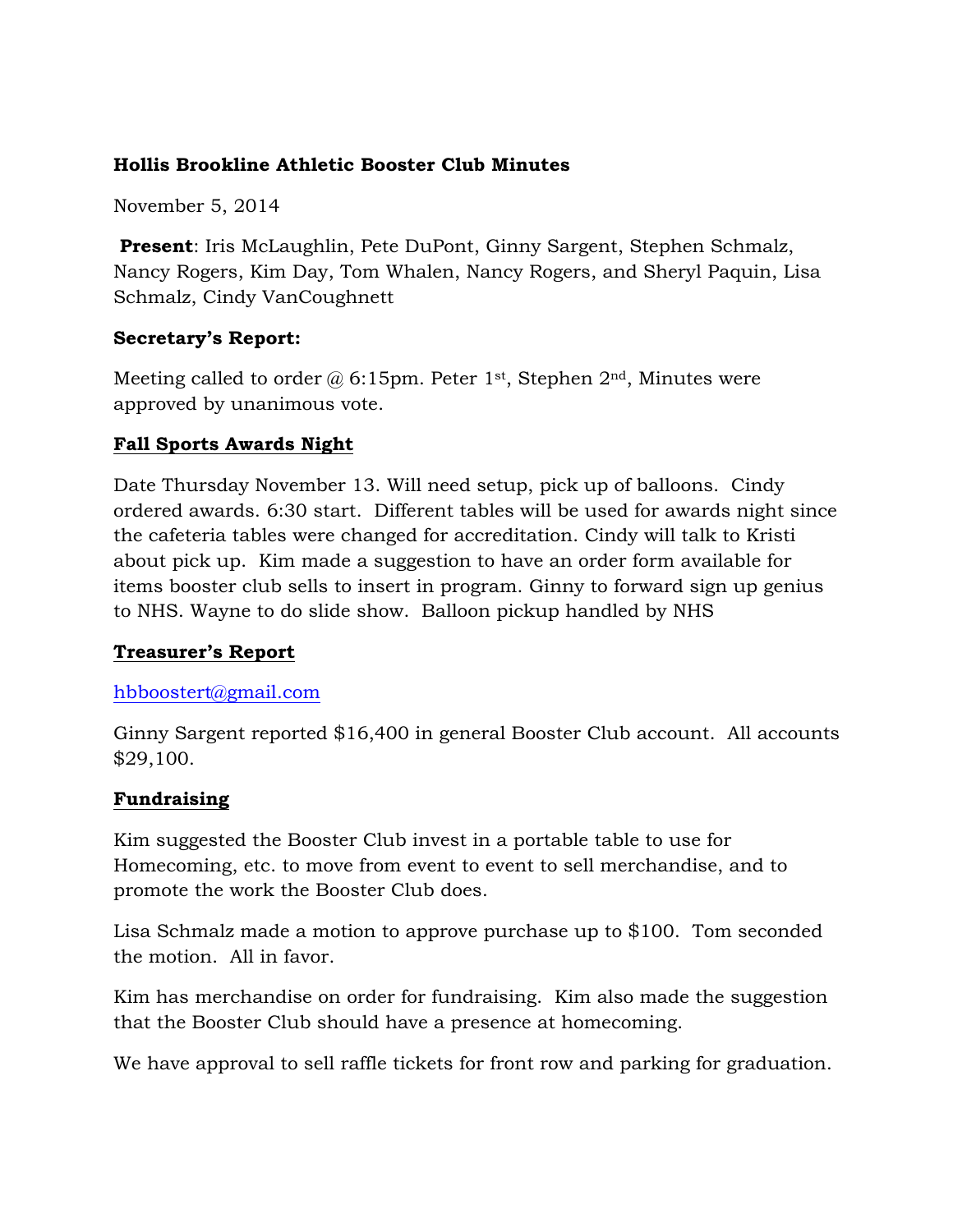# **Hollis Brookline Athletic Booster Club Minutes**

November 5, 2014

**Present**: Iris McLaughlin, Pete DuPont, Ginny Sargent, Stephen Schmalz, Nancy Rogers, Kim Day, Tom Whalen, Nancy Rogers, and Sheryl Paquin, Lisa Schmalz, Cindy VanCoughnett

### **Secretary's Report:**

Meeting called to order  $\omega$  6:15pm. Peter 1<sup>st</sup>, Stephen 2<sup>nd</sup>, Minutes were approved by unanimous vote.

### **Fall Sports Awards Night**

Date Thursday November 13. Will need setup, pick up of balloons. Cindy ordered awards. 6:30 start. Different tables will be used for awards night since the cafeteria tables were changed for accreditation. Cindy will talk to Kristi about pick up. Kim made a suggestion to have an order form available for items booster club sells to insert in program. Ginny to forward sign up genius to NHS. Wayne to do slide show. Balloon pickup handled by NHS

# **Treasurer's Report**

#### hbboostert@gmail.com

Ginny Sargent reported \$16,400 in general Booster Club account. All accounts \$29,100.

#### **Fundraising**

Kim suggested the Booster Club invest in a portable table to use for Homecoming, etc. to move from event to event to sell merchandise, and to promote the work the Booster Club does.

Lisa Schmalz made a motion to approve purchase up to \$100. Tom seconded the motion. All in favor.

Kim has merchandise on order for fundraising. Kim also made the suggestion that the Booster Club should have a presence at homecoming.

We have approval to sell raffle tickets for front row and parking for graduation.